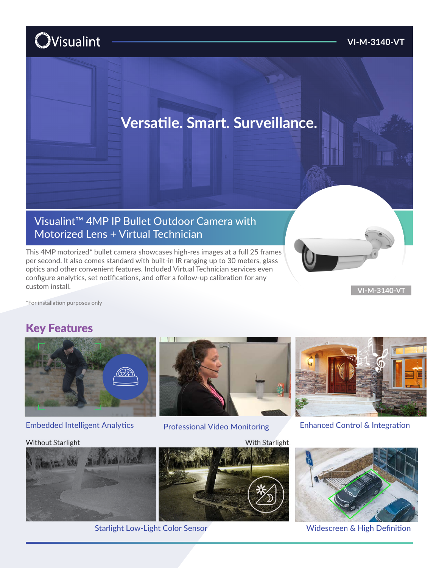# **O**Visualint

#### **VI-M-3140-VT**

# **Versatile. Smart. Surveillance.**

## Visualint™ 4MP IP Bullet Outdoor Camera with Motorized Lens + Virtual Technician

This 4MP motorized\* bullet camera showcases high-res images at a full 25 frames per second. It also comes standard with built-in IR ranging up to 30 meters, glass optics and other convenient features. Included Virtual Technician services even configure analytics, set notifications, and offer a follow-up calibration for any custom install.

**VI-M-3140-VT**

\*For installation purposes only

### Key Features



#### Embedded Intelligent Analytics **Enhanced Control & Integration** Enhanced Control & Integration

#### **Without Starlight**





Professional Video Monitoring